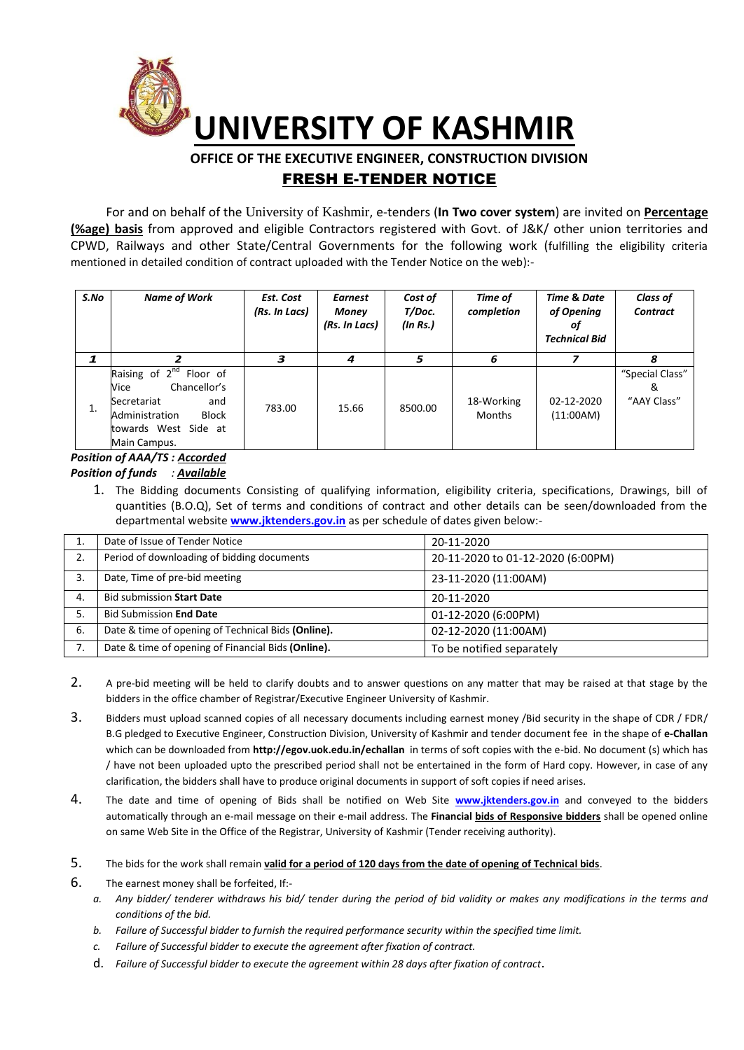

# **OFFICE OF THE EXECUTIVE ENGINEER, CONSTRUCTION DIVISION**  FRESH E-TENDER NOTICE

For and on behalf of the University of Kashmir, e-tenders (**In Two cover system**) are invited on **Percentage (%age) basis** from approved and eligible Contractors registered with Govt. of J&K/ other union territories and CPWD, Railways and other State/Central Governments for the following work (fulfilling the eligibility criteria mentioned in detailed condition of contract uploaded with the Tender Notice on the web):-

| S.No | <b>Name of Work</b>                                                                                                                                                  | Est. Cost<br>(Rs. In Lacs) | <b>Earnest</b><br>Money<br>(Rs. In Lacs) | Cost of<br>T/Doc.<br>(In Rs.) | Time of<br>completion       | <b>Time &amp; Date</b><br>of Opening<br>οţ<br><b>Technical Bid</b> | <b>Class of</b><br><b>Contract</b>  |
|------|----------------------------------------------------------------------------------------------------------------------------------------------------------------------|----------------------------|------------------------------------------|-------------------------------|-----------------------------|--------------------------------------------------------------------|-------------------------------------|
| 1    |                                                                                                                                                                      | з                          | 4                                        | 5                             | 6                           |                                                                    | 8                                   |
| 1.   | Raising of $2^{nd}$<br>Floor of<br>Chancellor's<br>Vice<br>Secretariat<br>and<br><b>Block</b><br>Administration<br>towards West Side at<br>Main Campus.<br>. <i></i> | 783.00                     | 15.66                                    | 8500.00                       | 18-Working<br><b>Months</b> | 02-12-2020<br>(11:00AM)                                            | "Special Class"<br>&<br>"AAY Class" |

### *Position of AAA/TS : Accorded Position of funds : Available*

1. The Bidding documents Consisting of qualifying information, eligibility criteria, specifications, Drawings, bill of quantities (B.O.Q), Set of terms and conditions of contract and other details can be seen/downloaded from the departmental website **[www.jktenders.gov.in](http://www.pmgsytendersjk.gov.in/)** as per schedule of dates given below:-

|    | Date of Issue of Tender Notice                     | 20-11-2020                        |
|----|----------------------------------------------------|-----------------------------------|
| 2. | Period of downloading of bidding documents         | 20-11-2020 to 01-12-2020 (6:00PM) |
| 3. | Date, Time of pre-bid meeting                      | 23-11-2020 (11:00AM)              |
| 4. | <b>Bid submission Start Date</b>                   | 20-11-2020                        |
| 5. | <b>Bid Submission End Date</b>                     | 01-12-2020 (6:00PM)               |
| 6. | Date & time of opening of Technical Bids (Online). | 02-12-2020 (11:00AM)              |
|    | Date & time of opening of Financial Bids (Online). | To be notified separately         |

- 2. A pre-bid meeting will be held to clarify doubts and to answer questions on any matter that may be raised at that stage by the bidders in the office chamber of Registrar/Executive Engineer University of Kashmir.
- 3. Bidders must upload scanned copies of all necessary documents including earnest money /Bid security in the shape of CDR / FDR/ B.G pledged to Executive Engineer, Construction Division, University of Kashmir and tender document fee in the shape of **e-Challan** which can be downloaded from **<http://egov.uok.edu.in/echallan>** in terms of soft copies with the e-bid. No document (s) which has / have not been uploaded upto the prescribed period shall not be entertained in the form of Hard copy. However, in case of any clarification, the bidders shall have to produce original documents in support of soft copies if need arises.
- 4. The date and time of opening of Bids shall be notified on Web Site **[www.jktenders.gov.in](http://www.pmgsytendersjk.gov.in/)** and conveyed to the bidders automatically through an e-mail message on their e-mail address. The **Financial bids of Responsive bidders** shall be opened online on same Web Site in the Office of the Registrar, University of Kashmir (Tender receiving authority).
- 5. The bids for the work shall remain **valid for a period of 120 days from the date of opening of Technical bids**.
- 6. The earnest money shall be forfeited, If:
	- *a. Any bidder/ tenderer withdraws his bid/ tender during the period of bid validity or makes any modifications in the terms and conditions of the bid.*
	- *b. Failure of Successful bidder to furnish the required performance security within the specified time limit.*
	- *c. Failure of Successful bidder to execute the agreement after fixation of contract.*
	- d. *Failure of Successful bidder to execute the agreement within 28 days after fixation of contract*.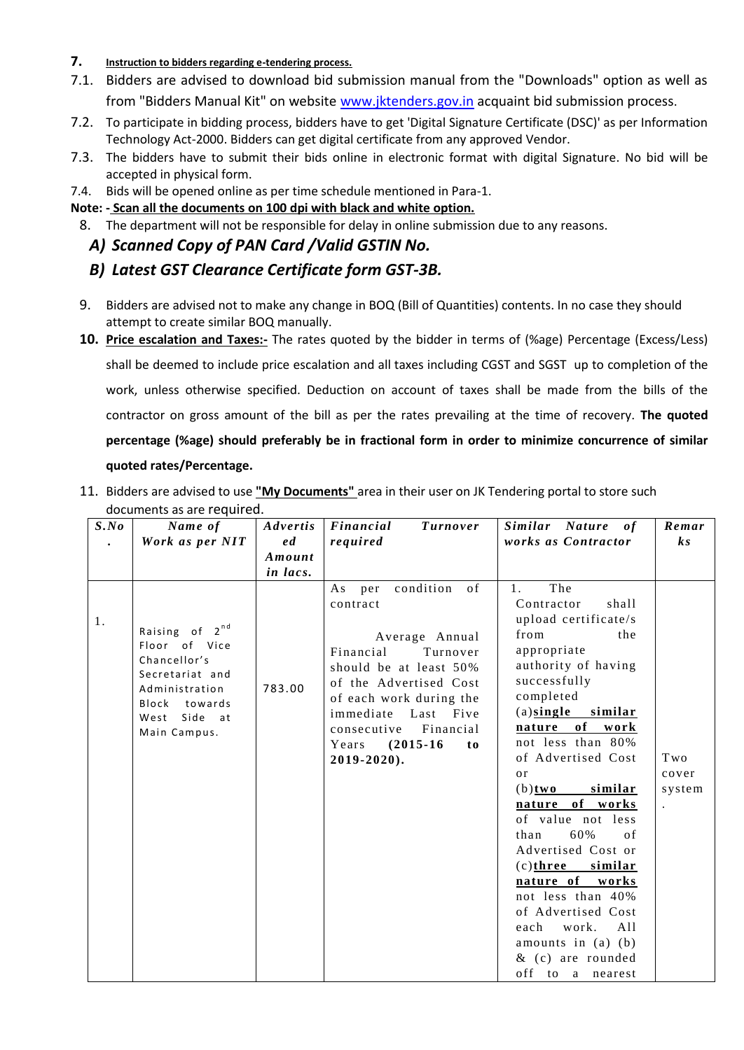## **7. Instruction to bidders regarding e-tendering process.**

- 7.1. Bidders are advised to download bid submission manual from the "Downloads" option as well as from "Bidders Manual Kit" on website [www.jktenders.gov.in](http://www.jktenders.gov.in/) acquaint bid submission process.
- 7.2. To participate in bidding process, bidders have to get 'Digital Signature Certificate (DSC)' as per Information Technology Act-2000. Bidders can get digital certificate from any approved Vendor.
- 7.3. The bidders have to submit their bids online in electronic format with digital Signature. No bid will be accepted in physical form.
- 7.4. Bids will be opened online as per time schedule mentioned in Para-1.

## **Note: - Scan all the documents on 100 dpi with black and white option.**

8. The department will not be responsible for delay in online submission due to any reasons.

## *A) Scanned Copy of PAN Card /Valid GSTIN No.*

# *B) Latest GST Clearance Certificate form GST-3B.*

- 9. Bidders are advised not to make any change in BOQ (Bill of Quantities) contents. In no case they should attempt to create similar BOQ manually.
- **10. Price escalation and Taxes:-** The rates quoted by the bidder in terms of (%age) Percentage (Excess/Less) shall be deemed to include price escalation and all taxes including CGST and SGST up to completion of the work, unless otherwise specified. Deduction on account of taxes shall be made from the bills of the contractor on gross amount of the bill as per the rates prevailing at the time of recovery. **The quoted percentage (%age) should preferably be in fractional form in order to minimize concurrence of similar quoted rates/Percentage.**

| 11. Bidders are advised to use "My Documents" area in their user on JK Tendering portal to store such |  |
|-------------------------------------------------------------------------------------------------------|--|
| documents as are required.                                                                            |  |

| S. No | Name of                                                                                                                                             | Advertis | Financial<br><b>Turnover</b>                                                                                                                                                                                                                                     | Similar Nature of                                                                                                                                                                                                                                                                                                                                                                                                                                                                                                                                         | Remar                  |
|-------|-----------------------------------------------------------------------------------------------------------------------------------------------------|----------|------------------------------------------------------------------------------------------------------------------------------------------------------------------------------------------------------------------------------------------------------------------|-----------------------------------------------------------------------------------------------------------------------------------------------------------------------------------------------------------------------------------------------------------------------------------------------------------------------------------------------------------------------------------------------------------------------------------------------------------------------------------------------------------------------------------------------------------|------------------------|
|       | Work as per NIT                                                                                                                                     | e d      | required                                                                                                                                                                                                                                                         | works as Contractor                                                                                                                                                                                                                                                                                                                                                                                                                                                                                                                                       | $\boldsymbol{k}$ s     |
|       |                                                                                                                                                     | Amount   |                                                                                                                                                                                                                                                                  |                                                                                                                                                                                                                                                                                                                                                                                                                                                                                                                                                           |                        |
|       |                                                                                                                                                     | in lacs. |                                                                                                                                                                                                                                                                  |                                                                                                                                                                                                                                                                                                                                                                                                                                                                                                                                                           |                        |
| 1.    | $2^{nd}$<br>Raising of<br>Floor of Vice<br>Chancellor's<br>Secretariat and<br>Administration<br>Block<br>towards<br>Side at<br>West<br>Main Campus. | 783.00   | condition of<br>As per<br>contract<br>Average Annual<br>Financial<br>Turnover<br>should be at least 50%<br>of the Advertised Cost<br>of each work during the<br>immediate Last Five<br>Financial<br>consecutive<br>$(2015-16)$<br>Years<br>to<br>$2019 - 2020$ . | The<br>$1_{\odot}$<br>Contractor<br>shall<br>upload certificate/s<br>from<br>the<br>appropriate<br>authority of having<br>successfully<br>completed<br>$(a)$ single similar<br>of<br>nature<br>work<br>not less than 80%<br>of Advertised Cost<br>or<br>similar<br>$(b)$ two<br>nature of works<br>of value not less<br>60%<br>$\sigma$ f<br>than<br>Advertised Cost or<br>$(c)$ three similar<br>nature of works<br>not less than 40%<br>of Advertised Cost<br>work.<br>A11<br>each<br>amounts in $(a)$ $(b)$<br>$&$ (c) are rounded<br>off to a nearest | Two<br>cover<br>system |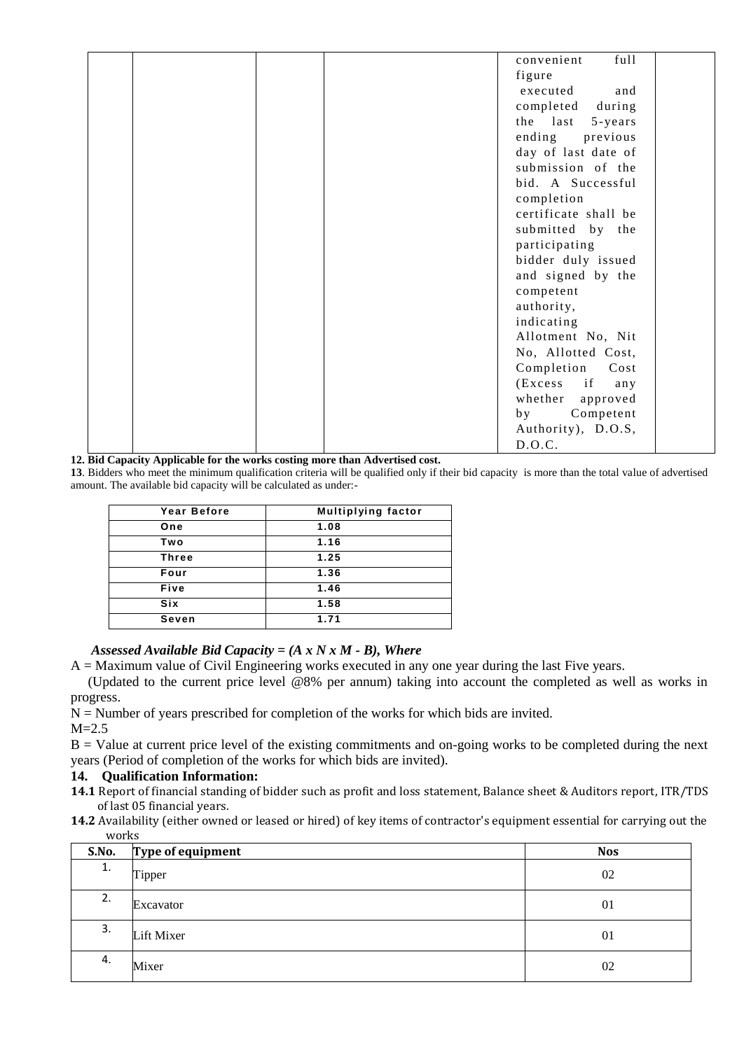| convenient<br>full      |  |
|-------------------------|--|
| figure                  |  |
| executed<br>and         |  |
| completed<br>during     |  |
| the last<br>$5 - years$ |  |
| ending<br>previous      |  |
| day of last date of     |  |
| submission of the       |  |
| bid. A Successful       |  |
| completion              |  |
| certificate shall be    |  |
| submitted by the        |  |
| participating           |  |
| bidder duly issued      |  |
| and signed by the       |  |
| competent               |  |
| authority,              |  |
| indicating              |  |
| Allotment No, Nit       |  |
| No, Allotted Cost,      |  |
| Completion<br>Cost      |  |
| $(Excess$ if<br>any     |  |
| whether approved        |  |
| Competent<br>b y        |  |
| Authority), D.O.S,      |  |
| D.O.C.                  |  |

**12. Bid Capacity Applicable for the works costing more than Advertised cost.** 

**13**. Bidders who meet the minimum qualification criteria will be qualified only if their bid capacity is more than the total value of advertised amount. The available bid capacity will be calculated as under:-

| Year Before  | <b>Multiplying factor</b> |
|--------------|---------------------------|
| One          | 1.08                      |
| Two          | 1.16                      |
| <b>Three</b> | 1.25                      |
| Four         | 1.36                      |
| Five         | 1.46                      |
| Six          | 1.58                      |
| Seven        | 1.71                      |

### *Assessed Available Bid Capacity = (A x N x M - B), Where*

 $A =$  Maximum value of Civil Engineering works executed in any one year during the last Five years.

 (Updated to the current price level @8% per annum) taking into account the completed as well as works in progress.

 $N =$  Number of years prescribed for completion of the works for which bids are invited.

 $M=2.5$ 

 $B =$  Value at current price level of the existing commitments and on-going works to be completed during the next years (Period of completion of the works for which bids are invited).

### **14. Qualification Information:**

- **14.1** Report of financial standing of bidder such as profit and loss statement, Balance sheet & Auditors report, ITR/TDS of last 05 financial years.
- **14.2** Availability (either owned or leased or hired) of key items of contractor's equipment essential for carrying out the works

| S.No. | Type of equipment | <b>Nos</b> |
|-------|-------------------|------------|
| 1.    | Tipper            | 02         |
| 2.    | Excavator         | 01         |
| 3.    | Lift Mixer        | 01         |
| 4.    | Mixer             | 02         |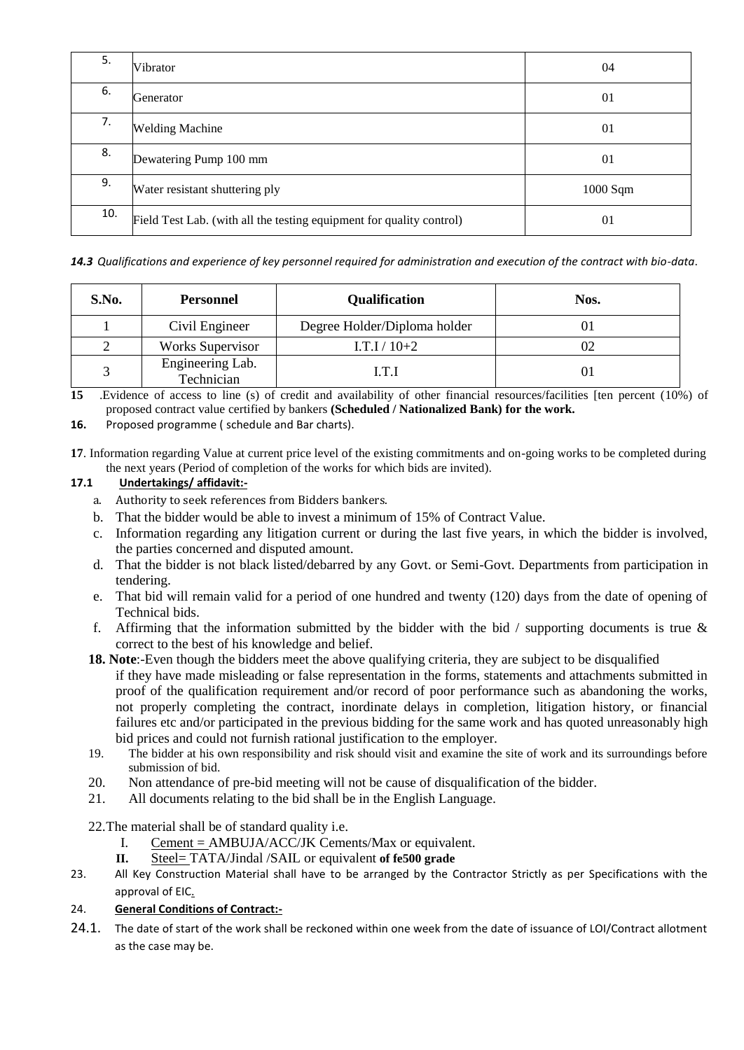| 5.  | Vibrator                                                             | 04         |
|-----|----------------------------------------------------------------------|------------|
| 6.  | Generator                                                            | 01         |
| 7.  | <b>Welding Machine</b>                                               | 01         |
| 8.  | Dewatering Pump 100 mm                                               | 01         |
| 9.  | Water resistant shuttering ply                                       | $1000$ Sqm |
| 10. | Field Test Lab. (with all the testing equipment for quality control) | 01         |

*14.3 Qualifications and experience of key personnel required for administration and execution of the contract with bio-data*.

| S.No. | <b>Personnel</b>               | Qualification                | Nos. |
|-------|--------------------------------|------------------------------|------|
|       | Civil Engineer                 | Degree Holder/Diploma holder |      |
|       | <b>Works Supervisor</b>        | $I.T.I/10+2$                 |      |
|       | Engineering Lab.<br>Technician | I.T.I                        |      |

**15** .Evidence of access to line (s) of credit and availability of other financial resources/facilities [ten percent (10%) of proposed contract value certified by bankers **(Scheduled / Nationalized Bank) for the work.**

**16.** Proposed programme ( schedule and Bar charts).

**17**. Information regarding Value at current price level of the existing commitments and on-going works to be completed during the next years (Period of completion of the works for which bids are invited).

### **17.1 Undertakings/ affidavit:-**

- a. Authority to seek references from Bidders bankers.
- b. That the bidder would be able to invest a minimum of 15% of Contract Value.
- c. Information regarding any litigation current or during the last five years, in which the bidder is involved, the parties concerned and disputed amount.
- d. That the bidder is not black listed/debarred by any Govt. or Semi-Govt. Departments from participation in tendering.
- e. That bid will remain valid for a period of one hundred and twenty (120) days from the date of opening of Technical bids.
- f. Affirming that the information submitted by the bidder with the bid  $\ell$  supporting documents is true  $\&$ correct to the best of his knowledge and belief.
- **18. Note**:-Even though the bidders meet the above qualifying criteria, they are subject to be disqualified if they have made misleading or false representation in the forms, statements and attachments submitted in proof of the qualification requirement and/or record of poor performance such as abandoning the works, not properly completing the contract, inordinate delays in completion, litigation history, or financial failures etc and/or participated in the previous bidding for the same work and has quoted unreasonably high bid prices and could not furnish rational justification to the employer.
- 19. The bidder at his own responsibility and risk should visit and examine the site of work and its surroundings before submission of bid.
- 20. Non attendance of pre-bid meeting will not be cause of disqualification of the bidder.
- 21. All documents relating to the bid shall be in the English Language.

22.The material shall be of standard quality i.e.

- I. Cement = AMBUJA/ACC/JK Cements/Max or equivalent.
- **II.** Steel= TATA/Jindal /SAIL or equivalent **of fe500 grade**
- 23. All Key Construction Material shall have to be arranged by the Contractor Strictly as per Specifications with the approval of EIC.

### 24. **General Conditions of Contract:-**

24.1. The date of start of the work shall be reckoned within one week from the date of issuance of LOI/Contract allotment as the case may be.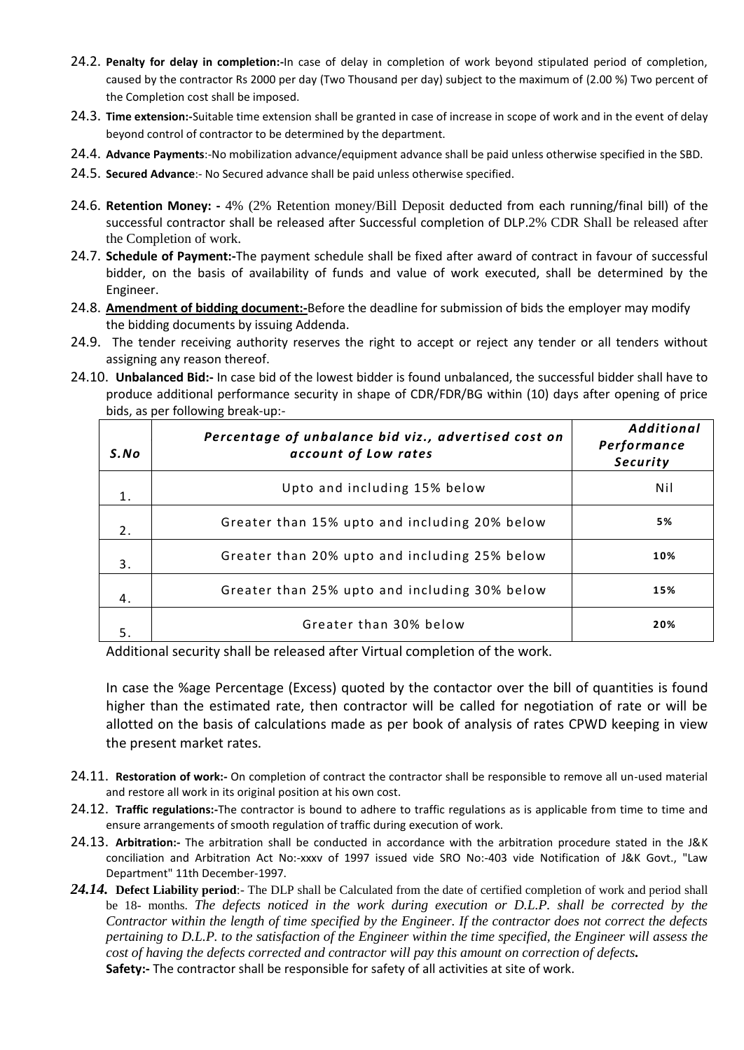- 24.2. **Penalty for delay in completion:-**In case of delay in completion of work beyond stipulated period of completion, caused by the contractor Rs 2000 per day (Two Thousand per day) subject to the maximum of (2.00 %) Two percent of the Completion cost shall be imposed.
- 24.3. **Time extension:-**Suitable time extension shall be granted in case of increase in scope of work and in the event of delay beyond control of contractor to be determined by the department.
- 24.4. **Advance Payments**:-No mobilization advance/equipment advance shall be paid unless otherwise specified in the SBD.
- 24.5. **Secured Advance**:- No Secured advance shall be paid unless otherwise specified.
- 24.6. **Retention Money: -** 4% (2% Retention money/Bill Deposit deducted from each running/final bill) of the successful contractor shall be released after Successful completion of DLP.2% CDR Shall be released after the Completion of work.
- 24.7. **Schedule of Payment:-**The payment schedule shall be fixed after award of contract in favour of successful bidder, on the basis of availability of funds and value of work executed, shall be determined by the Engineer.
- 24.8. **Amendment of bidding document:-**Before the deadline for submission of bids the employer may modify the bidding documents by issuing Addenda.
- 24.9. The tender receiving authority reserves the right to accept or reject any tender or all tenders without assigning any reason thereof.
- 24.10. **Unbalanced Bid:-** In case bid of the lowest bidder is found unbalanced, the successful bidder shall have to produce additional performance security in shape of CDR/FDR/BG within (10) days after opening of price bids, as per following break-up:-

| S. No | Percentage of unbalance bid viz., advertised cost on<br>account of Low rates | <b>Additional</b><br>Performance<br>Security |
|-------|------------------------------------------------------------------------------|----------------------------------------------|
| 1.    | Upto and including 15% below                                                 | Nil                                          |
| 2.    | Greater than 15% upto and including 20% below                                | 5%                                           |
| 3.    | Greater than 20% upto and including 25% below                                | 10%                                          |
| 4.    | Greater than 25% upto and including 30% below                                | 15%                                          |
| 5.    | Greater than 30% below                                                       | 20%                                          |

Additional security shall be released after Virtual completion of the work.

In case the %age Percentage (Excess) quoted by the contactor over the bill of quantities is found higher than the estimated rate, then contractor will be called for negotiation of rate or will be allotted on the basis of calculations made as per book of analysis of rates CPWD keeping in view the present market rates.

- 24.11. **Restoration of work:-** On completion of contract the contractor shall be responsible to remove all un-used material and restore all work in its original position at his own cost.
- 24.12. **Traffic regulations:-**The contractor is bound to adhere to traffic regulations as is applicable from time to time and ensure arrangements of smooth regulation of traffic during execution of work.
- 24.13. **Arbitration:-** The arbitration shall be conducted in accordance with the arbitration procedure stated in the J&K conciliation and Arbitration Act No:-xxxv of 1997 issued vide SRO No:-403 vide Notification of J&K Govt., "Law Department" 11th December-1997.
- *24.14.* **Defect Liability period**:- The DLP shall be Calculated from the date of certified completion of work and period shall be 18- months. *The defects noticed in the work during execution or D.L.P. shall be corrected by the Contractor within the length of time specified by the Engineer. If the contractor does not correct the defects pertaining to D.L.P. to the satisfaction of the Engineer within the time specified, the Engineer will assess the cost of having the defects corrected and contractor will pay this amount on correction of defects.*  **Safety:-** The contractor shall be responsible for safety of all activities at site of work.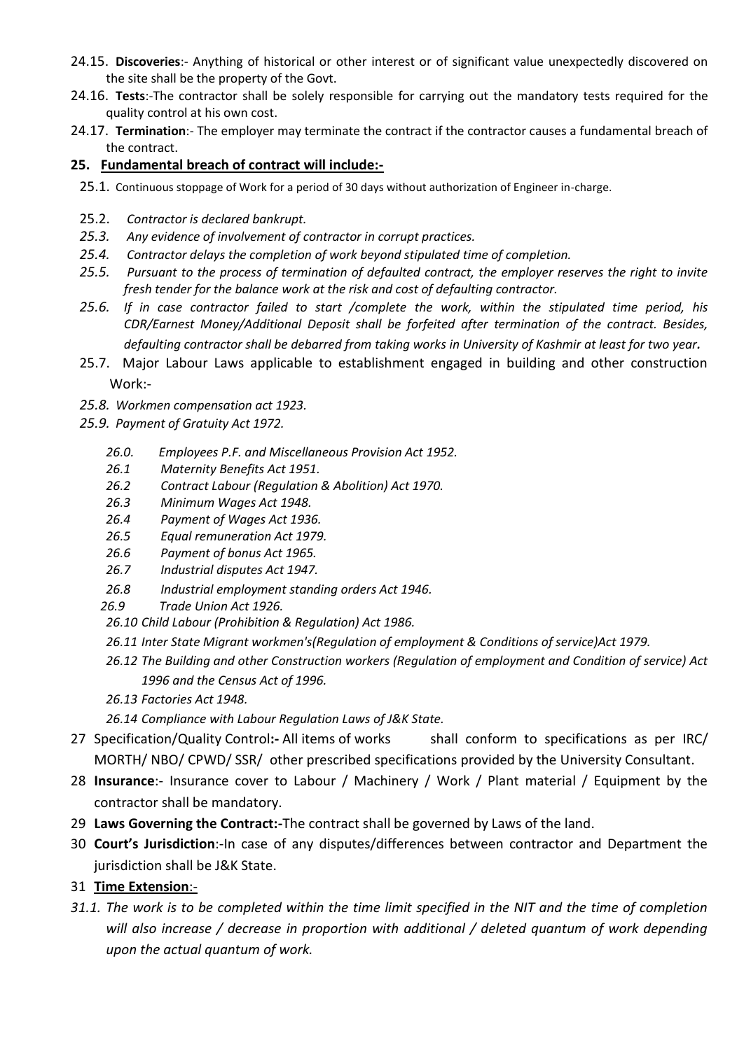- 24.15. **Discoveries**:- Anything of historical or other interest or of significant value unexpectedly discovered on the site shall be the property of the Govt.
- 24.16. **Tests**:-The contractor shall be solely responsible for carrying out the mandatory tests required for the quality control at his own cost.
- 24.17. **Termination**:- The employer may terminate the contract if the contractor causes a fundamental breach of the contract.

## **25. Fundamental breach of contract will include:-**

- 25.1. Continuous stoppage of Work for a period of 30 days without authorization of Engineer in-charge.
- 25.2. *Contractor is declared bankrupt.*
- *25.3. Any evidence of involvement of contractor in corrupt practices.*
- *25.4. Contractor delays the completion of work beyond stipulated time of completion.*
- *25.5. Pursuant to the process of termination of defaulted contract, the employer reserves the right to invite fresh tender for the balance work at the risk and cost of defaulting contractor.*
- *25.6. If in case contractor failed to start /complete the work, within the stipulated time period, his CDR/Earnest Money/Additional Deposit shall be forfeited after termination of the contract. Besides, defaulting contractor shall be debarred from taking works in University of Kashmir at least for two year.*
- 25.7. Major Labour Laws applicable to establishment engaged in building and other construction Work:-
- *25.8. Workmen compensation act 1923.*
- *25.9. Payment of Gratuity Act 1972.* 
	- *26.0. Employees P.F. and Miscellaneous Provision Act 1952.*
	- *26.1 Maternity Benefits Act 1951.*
	- *26.2 Contract Labour (Regulation & Abolition) Act 1970.*
	- *26.3 Minimum Wages Act 1948.*
	- *26.4 Payment of Wages Act 1936.*
	- *26.5 Equal remuneration Act 1979.*
	- *26.6 Payment of bonus Act 1965.*
	- *26.7 Industrial disputes Act 1947.*
	- *26.8 Industrial employment standing orders Act 1946.*
	- *26.9 Trade Union Act 1926.*
	- *26.10 Child Labour (Prohibition & Regulation) Act 1986.*
	- *26.11 Inter State Migrant workmen's(Regulation of employment & Conditions of service)Act 1979.*
	- *26.12 The Building and other Construction workers (Regulation of employment and Condition of service) Act 1996 and the Census Act of 1996.*
	- *26.13 Factories Act 1948.*
	- *26.14 Compliance with Labour Regulation Laws of J&K State.*
- 27 Specification/Quality Control**:-** All items of works shall conform to specifications as per IRC/ MORTH/ NBO/ CPWD/ SSR/ other prescribed specifications provided by the University Consultant.
- 28 **Insurance**:- Insurance cover to Labour / Machinery / Work / Plant material / Equipment by the contractor shall be mandatory.
- 29 **Laws Governing the Contract:-**The contract shall be governed by Laws of the land.
- 30 **Court's Jurisdiction**:-In case of any disputes/differences between contractor and Department the jurisdiction shall be J&K State.
- 31 **Time Extension**:-
- *31.1. The work is to be completed within the time limit specified in the NIT and the time of completion will also increase / decrease in proportion with additional / deleted quantum of work depending upon the actual quantum of work.*